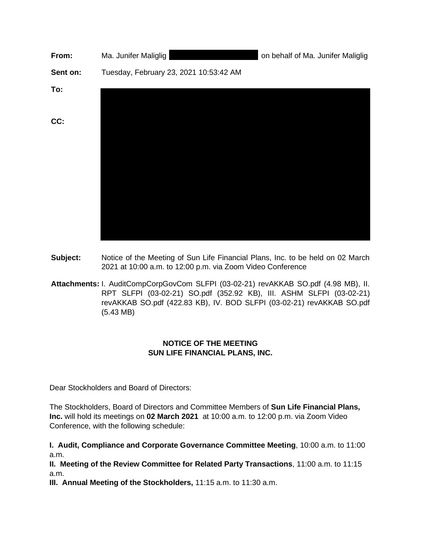| From:    | Ma. Junifer Maliglig                   | on behalf of Ma. Junifer Maliglig |
|----------|----------------------------------------|-----------------------------------|
| Sent on: | Tuesday, February 23, 2021 10:53:42 AM |                                   |
| To:      |                                        |                                   |
| CC:      |                                        |                                   |
|          |                                        |                                   |

- **Subject:** Notice of the Meeting of Sun Life Financial Plans, Inc. to be held on 02 March 2021 at 10:00 a.m. to 12:00 p.m. via Zoom Video Conference
- **Attachments:** I. AuditCompCorpGovCom SLFPI (03-02-21) revAKKAB SO.pdf (4.98 MB), II. RPT SLFPI (03-02-21) SO.pdf (352.92 KB), III. ASHM SLFPI (03-02-21) revAKKAB SO.pdf (422.83 KB), IV. BOD SLFPI (03-02-21) revAKKAB SO.pdf (5.43 MB)

## **NOTICE OF THE MEETING SUN LIFE FINANCIAL PLANS, INC.**

Dear Stockholders and Board of Directors:

The Stockholders, Board of Directors and Committee Members of **Sun Life Financial Plans, Inc.** will hold its meetings on **02 March 2021** at 10:00 a.m. to 12:00 p.m. via Zoom Video Conference, with the following schedule:

**I. Audit, Compliance and Corporate Governance Committee Meeting**, 10:00 a.m. to 11:00 a.m.

**II. Meeting of the Review Committee for Related Party Transactions**, 11:00 a.m. to 11:15 a.m.

**III. Annual Meeting of the Stockholders,** 11:15 a.m. to 11:30 a.m.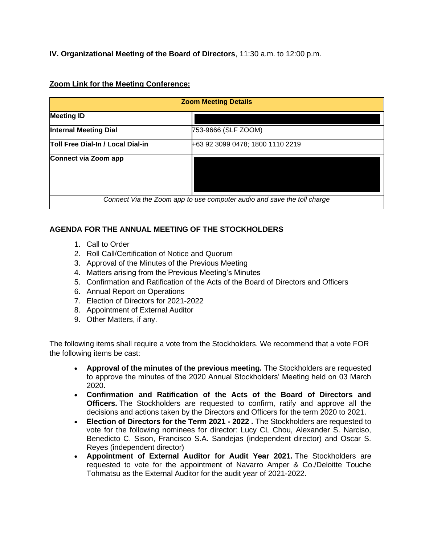**IV. Organizational Meeting of the Board of Directors**, 11:30 a.m. to 12:00 p.m.

## **Zoom Link for the Meeting Conference:**

| <b>Zoom Meeting Details</b>                                             |                                  |  |
|-------------------------------------------------------------------------|----------------------------------|--|
| <b>Meeting ID</b>                                                       |                                  |  |
| <b>Internal Meeting Dial</b>                                            | 753-9666 (SLF ZOOM)              |  |
| Toll Free Dial-In / Local Dial-in                                       | +63 92 3099 0478; 1800 1110 2219 |  |
| Connect via Zoom app                                                    |                                  |  |
| Connect Via the Zoom app to use computer audio and save the toll charge |                                  |  |

## **AGENDA FOR THE ANNUAL MEETING OF THE STOCKHOLDERS**

- 1. Call to Order
- 2. Roll Call/Certification of Notice and Quorum
- 3. Approval of the Minutes of the Previous Meeting
- 4. Matters arising from the Previous Meeting's Minutes
- 5. Confirmation and Ratification of the Acts of the Board of Directors and Officers
- 6. Annual Report on Operations
- 7. Election of Directors for 2021-2022
- 8. Appointment of External Auditor
- 9. Other Matters, if any.

The following items shall require a vote from the Stockholders. We recommend that a vote FOR the following items be cast:

- **Approval of the minutes of the previous meeting.** The Stockholders are requested to approve the minutes of the 2020 Annual Stockholders' Meeting held on 03 March 2020.
- **Confirmation and Ratification of the Acts of the Board of Directors and Officers.** The Stockholders are requested to confirm, ratify and approve all the decisions and actions taken by the Directors and Officers for the term 2020 to 2021.
- **Election of Directors for the Term 2021 - 2022 .** The Stockholders are requested to vote for the following nominees for director: Lucy CL Chou, Alexander S. Narciso, Benedicto C. Sison, Francisco S.A. Sandejas (independent director) and Oscar S. Reyes (independent director)
- **Appointment of External Auditor for Audit Year 2021.** The Stockholders are requested to vote for the appointment of Navarro Amper & Co./Deloitte Touche Tohmatsu as the External Auditor for the audit year of 2021-2022.